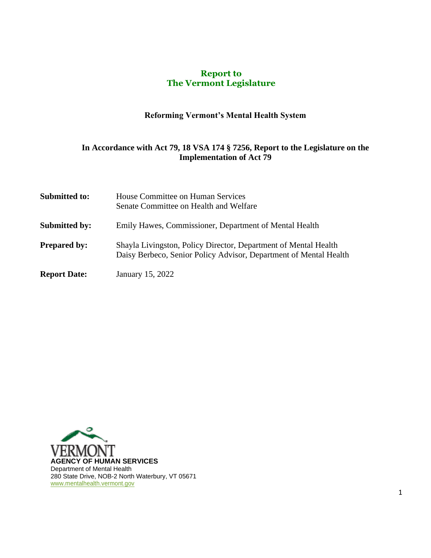#### **Report to The Vermont Legislature**

# **Reforming Vermont's Mental Health System**

#### **In Accordance with Act 79, 18 VSA 174 § 7256, Report to the Legislature on the Implementation of Act 79**

| <b>Submitted to:</b> | House Committee on Human Services<br>Senate Committee on Health and Welfare                                                          |  |
|----------------------|--------------------------------------------------------------------------------------------------------------------------------------|--|
| <b>Submitted by:</b> | Emily Hawes, Commissioner, Department of Mental Health                                                                               |  |
| <b>Prepared by:</b>  | Shayla Livingston, Policy Director, Department of Mental Health<br>Daisy Berbeco, Senior Policy Advisor, Department of Mental Health |  |
| <b>Report Date:</b>  | January 15, 2022                                                                                                                     |  |

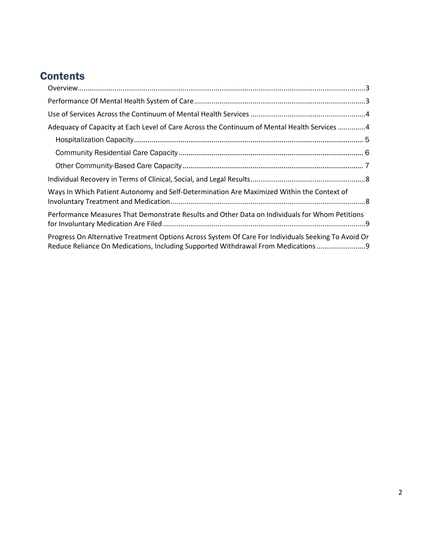# **Contents**

| Adequacy of Capacity at Each Level of Care Across the Continuum of Mental Health Services 4                                                                                            |  |  |
|----------------------------------------------------------------------------------------------------------------------------------------------------------------------------------------|--|--|
|                                                                                                                                                                                        |  |  |
|                                                                                                                                                                                        |  |  |
|                                                                                                                                                                                        |  |  |
|                                                                                                                                                                                        |  |  |
| Ways In Which Patient Autonomy and Self-Determination Are Maximized Within the Context of                                                                                              |  |  |
| Performance Measures That Demonstrate Results and Other Data on Individuals for Whom Petitions                                                                                         |  |  |
| Progress On Alternative Treatment Options Across System Of Care For Individuals Seeking To Avoid Or<br>Reduce Reliance On Medications, Including Supported Withdrawal From Medications |  |  |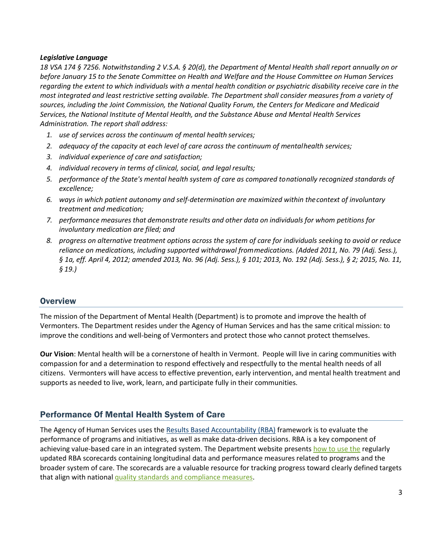#### *Legislative Language*

*18 VSA 174 § 7256. Notwithstanding 2 V.S.A. § 20(d), the Department of Mental Health shall report annually on or before January 15 to the Senate Committee on Health and Welfare and the House Committee on Human Services regarding the extent to which individuals with a mental health condition or psychiatric disability receive care in the most integrated and least restrictive setting available. The Department shall consider measures from a variety of sources, including the Joint Commission, the National Quality Forum, the Centers for Medicare and Medicaid Services, the National Institute of Mental Health, and the Substance Abuse and Mental Health Services Administration. The report shall address:*

- *1. use of services across the continuum of mental health services;*
- *2. adequacy of the capacity at each level of care across the continuum of mentalhealth services;*
- *3. individual experience of care and satisfaction;*
- *4. individual recovery in terms of clinical, social, and legal results;*
- *5. performance of the State's mental health system of care as compared tonationally recognized standards of excellence;*
- *6. ways in which patient autonomy and self-determination are maximized within thecontext of involuntary treatment and medication;*
- *7. performance measures that demonstrate results and other data on individuals for whom petitions for involuntary medication are filed; and*
- *8. progress on alternative treatment options across the system of care for individuals seeking to avoid or reduce reliance on medications, including supported withdrawal frommedications. (Added 2011, No. 79 (Adj. Sess.), § 1a, eff. April 4, 2012; amended 2013, No. 96 (Adj. Sess.), § 101; 2013, No. 192 (Adj. Sess.), § 2; 2015, No. 11, § 19.)*

#### <span id="page-2-0"></span>**Overview**

The mission of the Department of Mental Health (Department) is to promote and improve the health of Vermonters. The Department resides under the Agency of Human Services and has the same critical mission: to improve the conditions and well-being of Vermonters and protect those who cannot protect themselves.

**Our Vision**: Mental health will be a cornerstone of health in Vermont. People will live in caring communities with compassion for and a determination to respond effectively and respectfully to the mental health needs of all citizens. Vermonters will have access to effective prevention, early intervention, and mental health treatment and supports as needed to live, work, learn, and participate fully in their communities.

## <span id="page-2-1"></span>Performance Of Mental Health System of Care

The Agency of Human Services uses the [Results Based Accountability \(RBA\)](http://resultsaccountability.com/about/what-is-results-based-accountability/) framework is to evaluate the performance of programs and initiatives, as well as make data-driven decisions. RBA is a key component of achieving value-based care in an integrated system. The Department website presents [how to use the](https://mentalhealth.vermont.gov/reports-forms-and-manuals/reports/results-based-accountability) regularly updated RBA scorecards containing longitudinal data and performance measures related to programs and the broader system of care. The scorecards are a valuable resource for tracking progress toward clearly defined targets that align with national quality standards [and compliance measures.](https://www.jointcommission.org/standards/about-our-standards/)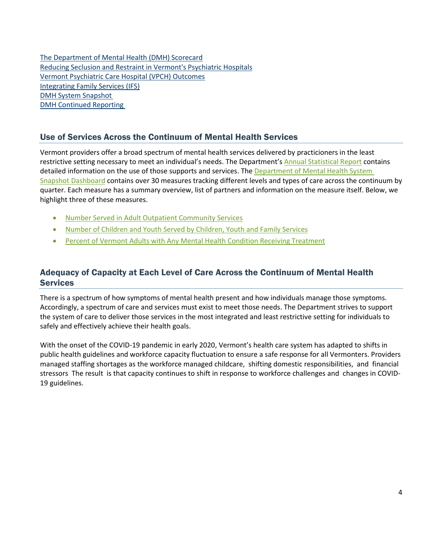[The Department of Mental Health \(DMH\) Scorecard](https://embed.resultsscorecard.com/Scorecard/Embed/9939) [Reducing Seclusion and Restraint in Vermont's Psychiatric Hospitals](https://embed.resultsscorecard.com/Scorecard/Embed/10396) [Vermont Psychiatric Care Hospital \(VPCH\) Outcomes](https://embed.resultsscorecard.com/Scorecard/Embed/8136) [Integrating Family Services \(IFS\)](https://embed.resultsscorecard.com/Scorecard/Embed/25947) [DMH System Snapshot](https://embed.resultsscorecard.com/Scorecard/Embed/14725)  [DMH Continued Reporting](https://embed.resultsscorecard.com/Scorecard/Embed/14723) 

#### <span id="page-3-0"></span>Use of Services Across the Continuum of Mental Health Services

Vermont providers offer a broad spectrum of mental health services delivered by practicioners in the least restrictive setting necessary to meet an individual's needs. The Department's [Annual Statistical Report](https://mentalhealth.vermont.gov/reports-forms-and-manuals/reports/statistical-reports-and-data) contains detailed information on the use of those supports and services. The Department of Mental Health System [Snapshot Dashboard](https://embed.clearimpact.com/Scorecard/Embed/14725) contains over 30 measures tracking different levels and types of care across the continuum by quarter. Each measure has a summary overview, list of partners and information on the measure itself. Below, we highlight three of these measures.

- [Number Served in Adult Outpatient Community Services](https://embed.clearimpact.com/Measure/Embed?id=101275)
- [Number of Children and Youth Served by Children, Youth and Family Services](https://embed.clearimpact.com/Measure/Embed?id=101281)
- [Percent of Vermont Adults with Any Mental Health Condition Receiving Treatment](https://embed.clearimpact.com/Measure/Embed?id=99046964)

# <span id="page-3-1"></span>Adequacy of Capacity at Each Level of Care Across the Continuum of Mental Health **Services**

There is a spectrum of how symptoms of mental health present and how individuals manage those symptoms. Accordingly, a spectrum of care and services must exist to meet those needs. The Department strives to support the system of care to deliver those services in the most integrated and least restrictive setting for individuals to safely and effectively achieve their health goals.

With the onset of the COVID-19 pandemic in early 2020, Vermont's health care system has adapted to shifts in public health guidelines and workforce capacity fluctuation to ensure a safe response for all Vermonters. Providers managed staffing shortages as the workforce managed childcare, shifting domestic responsibilities, and financial stressors The result is that capacity continues to shift in response to workforce challenges and changes in COVID-19 guidelines.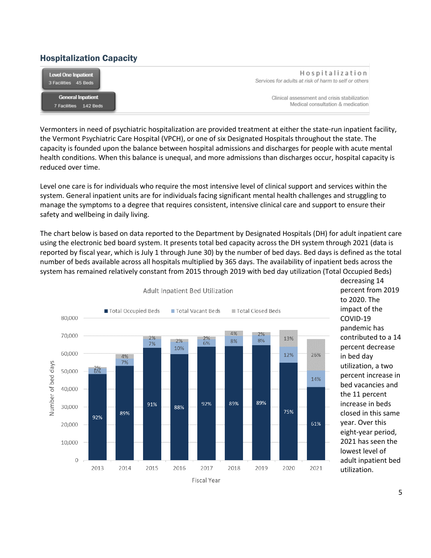## <span id="page-4-0"></span>Hospitalization Capacity

| Level One Inpatient      | Hospitalization                                       |
|--------------------------|-------------------------------------------------------|
| 3 Facilities 45 Beds     | Services for adults at risk of harm to self or others |
| <b>General Inpatient</b> | Clinical assessment and crisis stabilization          |
| 7 Facilities 142 Beds    | Medical consultation & medication                     |

Vermonters in need of psychiatric hospitalization are provided treatment at either the state-run inpatient facility, the Vermont Psychiatric Care Hospital (VPCH), or one of six Designated Hospitals throughout the state. The capacity is founded upon the balance between hospital admissions and discharges for people with acute mental health conditions. When this balance is unequal, and more admissions than discharges occur, hospital capacity is reduced over time.

Level one care is for individuals who require the most intensive level of clinical support and services within the system. General inpatient units are for individuals facing significant mental health challenges and struggling to manage the symptoms to a degree that requires consistent, intensive clinical care and support to ensure their safety and wellbeing in daily living.

The chart below is based on data reported to the Department by Designated Hospitals (DH) for adult inpatient care using the electronic bed board system. It presents total bed capacity across the DH system through 2021 (data is reported by fiscal year, which is July 1 through June 30) by the number of bed days. Bed days is defined as the total number of beds available across all hospitals multiplied by 365 days. The availability of inpatient beds across the system has remained relatively constant from 2015 through 2019 with bed day utilization (Total Occupied Beds)



Adult Inpatient Bed Utilization

decreasing 14 percent from 2019 to 2020. The impact of the COVID-19 pandemic has contributed to a 14 percent decrease in bed day utilization, a two percent increase in bed vacancies and the 11 percent increase in beds closed in this same year. Over this eight-year period, 2021 has seen the lowest level of adult inpatient bed utilization.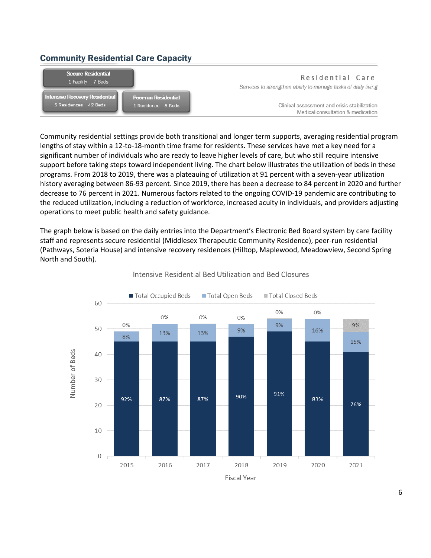## <span id="page-5-0"></span>Community Residential Care Capacity



Community residential settings provide both transitional and longer term supports, averaging residential program lengths of stay within a 12-to-18-month time frame for residents. These services have met a key need for a significant number of individuals who are ready to leave higher levels of care, but who still require intensive support before taking steps toward independent living. The chart below illustrates the utilization of beds in these programs. From 2018 to 2019, there was a plateauing of utilization at 91 percent with a seven-year utilization history averaging between 86-93 percent. Since 2019, there has been a decrease to 84 percent in 2020 and further decrease to 76 percent in 2021. Numerous factors related to the ongoing COVID-19 pandemic are contributing to the reduced utilization, including a reduction of workforce, increased acuity in individuals, and providers adjusting operations to meet public health and safety guidance.

The graph below is based on the daily entries into the Department's Electronic Bed Board system by care facility staff and represents secure residential (Middlesex Therapeutic Community Residence), peer-run residential (Pathways, Soteria House) and intensive recovery residences (Hilltop, Maplewood, Meadowview, Second Spring North and South).



#### Intensive Residential Bed Utilization and Bed Closures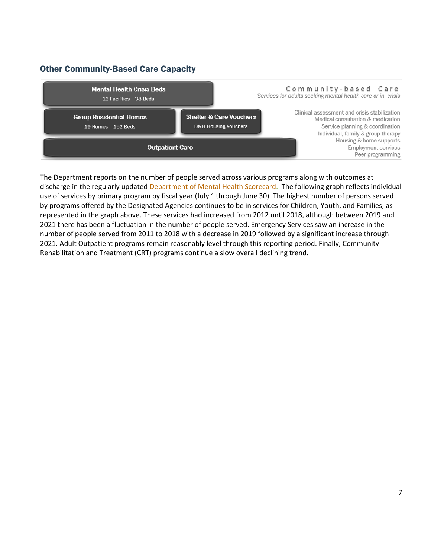# <span id="page-6-0"></span>Other Community-Based Care Capacity



The Department reports on the number of people served across various programs along with outcomes at discharge in the regularly updated [Department of Mental Health Scorecard.](https://embed.clearimpact.com/Scorecard/Embed/9939) The following graph reflects individual use of services by primary program by fiscal year (July 1 through June 30). The highest number of persons served by programs offered by the Designated Agencies continues to be in services for Children, Youth, and Families, as represented in the graph above. These services had increased from 2012 until 2018, although between 2019 and 2021 there has been a fluctuation in the number of people served. Emergency Services saw an increase in the number of people served from 2011 to 2018 with a decrease in 2019 followed by a significant increase through 2021. Adult Outpatient programs remain reasonably level through this reporting period. Finally, Community Rehabilitation and Treatment (CRT) programs continue a slow overall declining trend.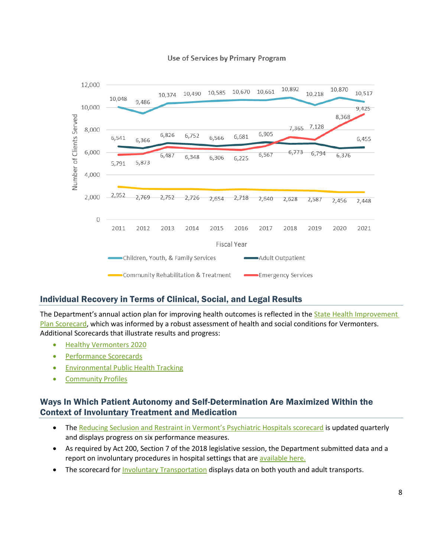



## <span id="page-7-0"></span>Individual Recovery in Terms of Clinical, Social, and Legal Results

The Department's annual action plan for improving health outcomes is reflected in the State Health Improvement [Plan Scorecard,](https://www.healthvermont.gov/about/performance/state-health-improvement-plan-2019-2023-scorecard) which was informed by a robust assessment of health and social conditions for Vermonters. Additional Scorecards that illustrate results and progress:

- [Healthy Vermonters 2020](http://www.healthvermont.gov/about/reports/healthy-vermonters-plans-reports)
- [Performance Scorecards](http://www.healthvermont.gov/about/performance)
- [Environmental Public Health Tracking](http://www.healthvermont.gov/tracking)
- [Community Profiles](https://apps.health.vermont.gov/ias/querytool?topic=HealthyVermonters2020&theme1=HV2020CommunityProfiles&theme2=CommunityProfiles3450)

## <span id="page-7-1"></span>Ways In Which Patient Autonomy and Self-Determination Are Maximized Within the Context of Involuntary Treatment and Medication

- The [Reducing Seclusion and Restraint in Vermont's Psychiatric Hospitals scorecard](https://embed.clearimpact.com/Scorecard/Embed/10396) is updated quarterly and displays progress on six performance measures.
- As required by Act 200, Section 7 of the 2018 legislative session, the Department submitted data and a report on involuntary procedures in hospital settings that are [available here.](https://mentalhealth.vermont.gov/sites/mhnew/files/documents/AboutUs/Leg/Act_200_Section_7_Report_01.31.20.pdf)
- The scorecard fo[r Involuntary Transportation](https://embed.clearimpact.com/Container/Embed?id=13757) displays data on both youth and adult transports.